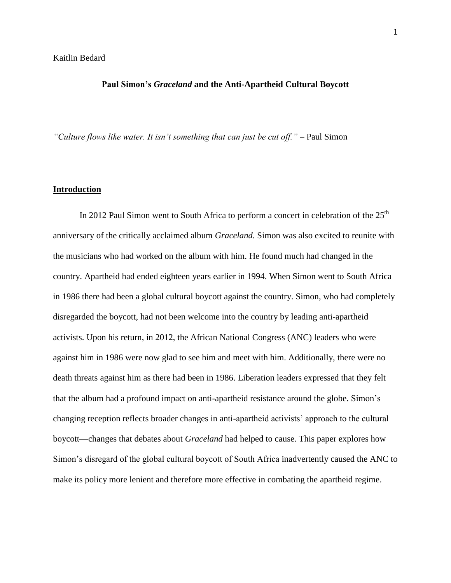# Kaitlin Bedard

### **Paul Simon's** *Graceland* **and the Anti-Apartheid Cultural Boycott**

*"Culture flows like water. It isn't something that can just be cut off."* – Paul Simon

#### **Introduction**

In 2012 Paul Simon went to South Africa to perform a concert in celebration of the  $25<sup>th</sup>$ anniversary of the critically acclaimed album *Graceland.* Simon was also excited to reunite with the musicians who had worked on the album with him. He found much had changed in the country. Apartheid had ended eighteen years earlier in 1994. When Simon went to South Africa in 1986 there had been a global cultural boycott against the country. Simon, who had completely disregarded the boycott, had not been welcome into the country by leading anti-apartheid activists. Upon his return, in 2012, the African National Congress (ANC) leaders who were against him in 1986 were now glad to see him and meet with him. Additionally, there were no death threats against him as there had been in 1986. Liberation leaders expressed that they felt that the album had a profound impact on anti-apartheid resistance around the globe. Simon's changing reception reflects broader changes in anti-apartheid activists' approach to the cultural boycott—changes that debates about *Graceland* had helped to cause. This paper explores how Simon's disregard of the global cultural boycott of South Africa inadvertently caused the ANC to make its policy more lenient and therefore more effective in combating the apartheid regime.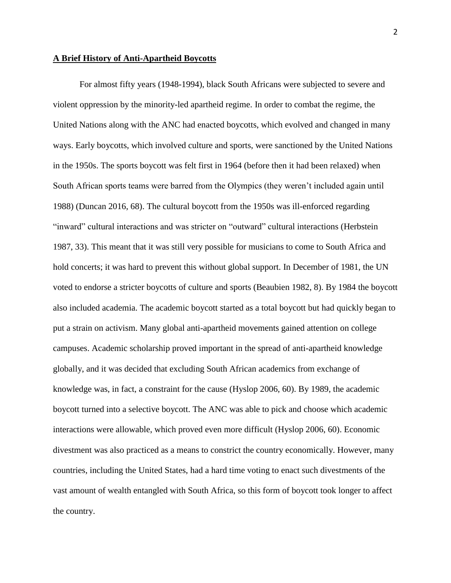#### **A Brief History of Anti-Apartheid Boycotts**

For almost fifty years (1948-1994), black South Africans were subjected to severe and violent oppression by the minority-led apartheid regime. In order to combat the regime, the United Nations along with the ANC had enacted boycotts, which evolved and changed in many ways. Early boycotts, which involved culture and sports, were sanctioned by the United Nations in the 1950s. The sports boycott was felt first in 1964 (before then it had been relaxed) when South African sports teams were barred from the Olympics (they weren't included again until 1988) (Duncan 2016, 68). The cultural boycott from the 1950s was ill-enforced regarding "inward" cultural interactions and was stricter on "outward" cultural interactions (Herbstein 1987, 33). This meant that it was still very possible for musicians to come to South Africa and hold concerts; it was hard to prevent this without global support. In December of 1981, the UN voted to endorse a stricter boycotts of culture and sports (Beaubien 1982, 8). By 1984 the boycott also included academia. The academic boycott started as a total boycott but had quickly began to put a strain on activism. Many global anti-apartheid movements gained attention on college campuses. Academic scholarship proved important in the spread of anti-apartheid knowledge globally, and it was decided that excluding South African academics from exchange of knowledge was, in fact, a constraint for the cause (Hyslop 2006, 60). By 1989, the academic boycott turned into a selective boycott. The ANC was able to pick and choose which academic interactions were allowable, which proved even more difficult (Hyslop 2006, 60). Economic divestment was also practiced as a means to constrict the country economically. However, many countries, including the United States, had a hard time voting to enact such divestments of the vast amount of wealth entangled with South Africa, so this form of boycott took longer to affect the country.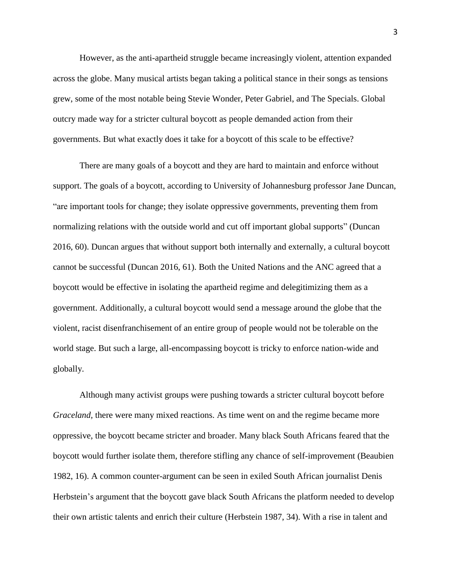However, as the anti-apartheid struggle became increasingly violent, attention expanded across the globe. Many musical artists began taking a political stance in their songs as tensions grew, some of the most notable being Stevie Wonder, Peter Gabriel, and The Specials. Global outcry made way for a stricter cultural boycott as people demanded action from their governments. But what exactly does it take for a boycott of this scale to be effective?

There are many goals of a boycott and they are hard to maintain and enforce without support. The goals of a boycott, according to University of Johannesburg professor Jane Duncan, "are important tools for change; they isolate oppressive governments, preventing them from normalizing relations with the outside world and cut off important global supports" (Duncan 2016, 60). Duncan argues that without support both internally and externally, a cultural boycott cannot be successful (Duncan 2016, 61). Both the United Nations and the ANC agreed that a boycott would be effective in isolating the apartheid regime and delegitimizing them as a government. Additionally, a cultural boycott would send a message around the globe that the violent, racist disenfranchisement of an entire group of people would not be tolerable on the world stage. But such a large, all-encompassing boycott is tricky to enforce nation-wide and globally.

Although many activist groups were pushing towards a stricter cultural boycott before *Graceland*, there were many mixed reactions. As time went on and the regime became more oppressive, the boycott became stricter and broader. Many black South Africans feared that the boycott would further isolate them, therefore stifling any chance of self-improvement (Beaubien 1982, 16). A common counter-argument can be seen in exiled South African journalist Denis Herbstein's argument that the boycott gave black South Africans the platform needed to develop their own artistic talents and enrich their culture (Herbstein 1987, 34). With a rise in talent and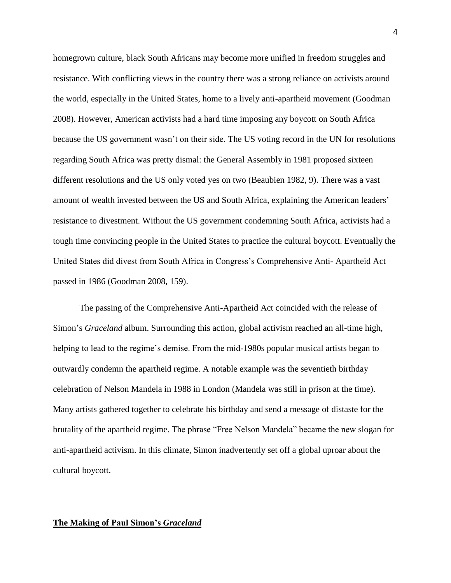homegrown culture, black South Africans may become more unified in freedom struggles and resistance. With conflicting views in the country there was a strong reliance on activists around the world, especially in the United States, home to a lively anti-apartheid movement (Goodman 2008). However, American activists had a hard time imposing any boycott on South Africa because the US government wasn't on their side. The US voting record in the UN for resolutions regarding South Africa was pretty dismal: the General Assembly in 1981 proposed sixteen different resolutions and the US only voted yes on two (Beaubien 1982, 9). There was a vast amount of wealth invested between the US and South Africa, explaining the American leaders' resistance to divestment. Without the US government condemning South Africa, activists had a tough time convincing people in the United States to practice the cultural boycott. Eventually the United States did divest from South Africa in Congress's Comprehensive Anti- Apartheid Act passed in 1986 (Goodman 2008, 159).

The passing of the Comprehensive Anti-Apartheid Act coincided with the release of Simon's *Graceland* album. Surrounding this action, global activism reached an all-time high, helping to lead to the regime's demise. From the mid-1980s popular musical artists began to outwardly condemn the apartheid regime. A notable example was the seventieth birthday celebration of Nelson Mandela in 1988 in London (Mandela was still in prison at the time). Many artists gathered together to celebrate his birthday and send a message of distaste for the brutality of the apartheid regime. The phrase "Free Nelson Mandela" became the new slogan for anti-apartheid activism. In this climate, Simon inadvertently set off a global uproar about the cultural boycott.

### **The Making of Paul Simon's** *Graceland*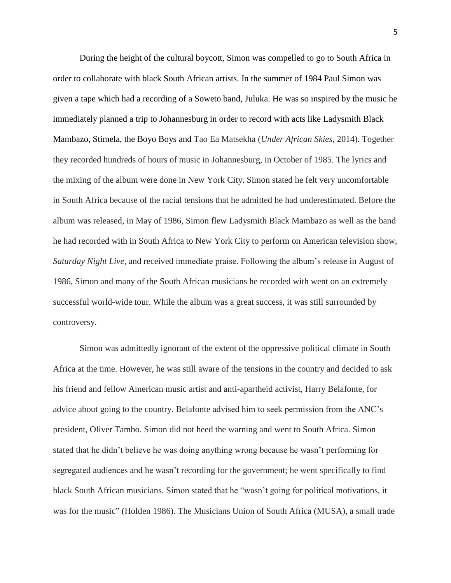During the height of the cultural boycott, Simon was compelled to go to South Africa in order to collaborate with black South African artists. In the summer of 1984 Paul Simon was given a tape which had a recording of a Soweto band, Juluka. He was so inspired by the music he immediately planned a trip to Johannesburg in order to record with acts like Ladysmith Black Mambazo, Stimela, the Boyo Boys and Tao Ea Matsekha (*Under African Skies*, 2014). Together they recorded hundreds of hours of music in Johannesburg, in October of 1985. The lyrics and the mixing of the album were done in New York City. Simon stated he felt very uncomfortable in South Africa because of the racial tensions that he admitted he had underestimated. Before the album was released, in May of 1986, Simon flew Ladysmith Black Mambazo as well as the band he had recorded with in South Africa to New York City to perform on American television show, *Saturday Night Live,* and received immediate praise. Following the album's release in August of 1986, Simon and many of the South African musicians he recorded with went on an extremely successful world-wide tour. While the album was a great success, it was still surrounded by controversy.

Simon was admittedly ignorant of the extent of the oppressive political climate in South Africa at the time. However, he was still aware of the tensions in the country and decided to ask his friend and fellow American music artist and anti-apartheid activist, Harry Belafonte, for advice about going to the country. Belafonte advised him to seek permission from the ANC's president, Oliver Tambo. Simon did not heed the warning and went to South Africa. Simon stated that he didn't believe he was doing anything wrong because he wasn't performing for segregated audiences and he wasn't recording for the government; he went specifically to find black South African musicians. Simon stated that he "wasn't going for political motivations, it was for the music" (Holden 1986). The Musicians Union of South Africa (MUSA), a small trade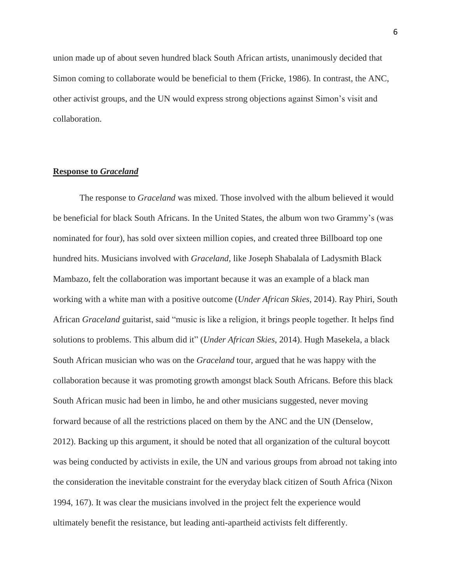union made up of about seven hundred black South African artists, unanimously decided that Simon coming to collaborate would be beneficial to them (Fricke, 1986). In contrast, the ANC, other activist groups, and the UN would express strong objections against Simon's visit and collaboration.

### **Response to** *Graceland*

The response to *Graceland* was mixed. Those involved with the album believed it would be beneficial for black South Africans. In the United States, the album won two Grammy's (was nominated for four), has sold over sixteen million copies, and created three Billboard top one hundred hits. Musicians involved with *Graceland,* like Joseph Shabalala of Ladysmith Black Mambazo, felt the collaboration was important because it was an example of a black man working with a white man with a positive outcome (*Under African Skies*, 2014). Ray Phiri, South African *Graceland* guitarist, said "music is like a religion, it brings people together. It helps find solutions to problems. This album did it" (*Under African Skies*, 2014). Hugh Masekela, a black South African musician who was on the *Graceland* tour, argued that he was happy with the collaboration because it was promoting growth amongst black South Africans. Before this black South African music had been in limbo, he and other musicians suggested, never moving forward because of all the restrictions placed on them by the ANC and the UN (Denselow, 2012). Backing up this argument, it should be noted that all organization of the cultural boycott was being conducted by activists in exile, the UN and various groups from abroad not taking into the consideration the inevitable constraint for the everyday black citizen of South Africa (Nixon 1994, 167). It was clear the musicians involved in the project felt the experience would ultimately benefit the resistance, but leading anti-apartheid activists felt differently.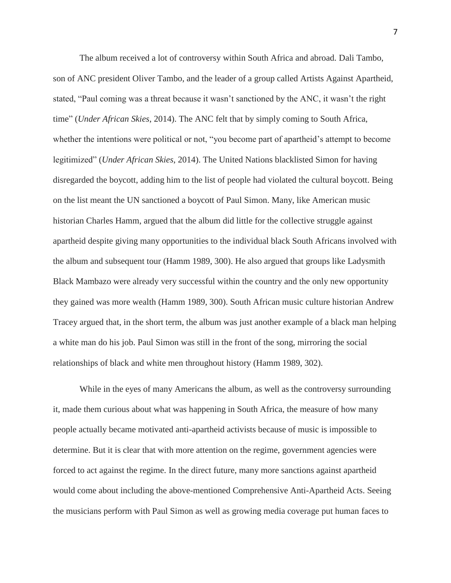The album received a lot of controversy within South Africa and abroad*.* Dali Tambo, son of ANC president Oliver Tambo, and the leader of a group called Artists Against Apartheid, stated, "Paul coming was a threat because it wasn't sanctioned by the ANC, it wasn't the right time" (*Under African Skies*, 2014). The ANC felt that by simply coming to South Africa, whether the intentions were political or not, "you become part of apartheid's attempt to become legitimized" (*Under African Skies*, 2014). The United Nations blacklisted Simon for having disregarded the boycott, adding him to the list of people had violated the cultural boycott. Being on the list meant the UN sanctioned a boycott of Paul Simon. Many, like American music historian Charles Hamm, argued that the album did little for the collective struggle against apartheid despite giving many opportunities to the individual black South Africans involved with the album and subsequent tour (Hamm 1989, 300). He also argued that groups like Ladysmith Black Mambazo were already very successful within the country and the only new opportunity they gained was more wealth (Hamm 1989, 300). South African music culture historian Andrew Tracey argued that, in the short term, the album was just another example of a black man helping a white man do his job. Paul Simon was still in the front of the song, mirroring the social relationships of black and white men throughout history (Hamm 1989, 302).

While in the eyes of many Americans the album, as well as the controversy surrounding it, made them curious about what was happening in South Africa, the measure of how many people actually became motivated anti-apartheid activists because of music is impossible to determine. But it is clear that with more attention on the regime, government agencies were forced to act against the regime. In the direct future, many more sanctions against apartheid would come about including the above-mentioned Comprehensive Anti-Apartheid Acts. Seeing the musicians perform with Paul Simon as well as growing media coverage put human faces to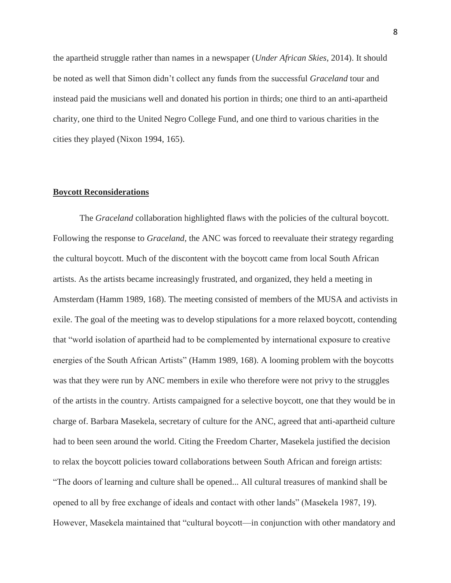the apartheid struggle rather than names in a newspaper (*Under African Skies*, 2014). It should be noted as well that Simon didn't collect any funds from the successful *Graceland* tour and instead paid the musicians well and donated his portion in thirds; one third to an anti-apartheid charity, one third to the United Negro College Fund, and one third to various charities in the cities they played (Nixon 1994, 165).

# **Boycott Reconsiderations**

The *Graceland* collaboration highlighted flaws with the policies of the cultural boycott. Following the response to *Graceland,* the ANC was forced to reevaluate their strategy regarding the cultural boycott. Much of the discontent with the boycott came from local South African artists. As the artists became increasingly frustrated, and organized, they held a meeting in Amsterdam (Hamm 1989, 168). The meeting consisted of members of the MUSA and activists in exile. The goal of the meeting was to develop stipulations for a more relaxed boycott, contending that "world isolation of apartheid had to be complemented by international exposure to creative energies of the South African Artists" (Hamm 1989, 168). A looming problem with the boycotts was that they were run by ANC members in exile who therefore were not privy to the struggles of the artists in the country. Artists campaigned for a selective boycott, one that they would be in charge of. Barbara Masekela, secretary of culture for the ANC, agreed that anti-apartheid culture had to been seen around the world. Citing the Freedom Charter, Masekela justified the decision to relax the boycott policies toward collaborations between South African and foreign artists: "The doors of learning and culture shall be opened... All cultural treasures of mankind shall be opened to all by free exchange of ideals and contact with other lands" (Masekela 1987, 19). However, Masekela maintained that "cultural boycott—in conjunction with other mandatory and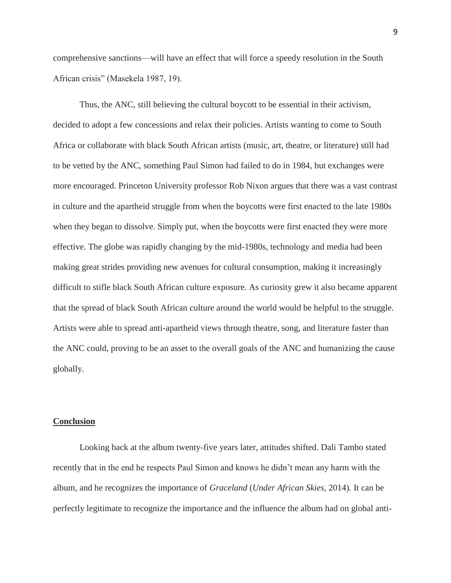comprehensive sanctions—will have an effect that will force a speedy resolution in the South African crisis" (Masekela 1987, 19).

Thus, the ANC, still believing the cultural boycott to be essential in their activism, decided to adopt a few concessions and relax their policies. Artists wanting to come to South Africa or collaborate with black South African artists (music, art, theatre, or literature) still had to be vetted by the ANC, something Paul Simon had failed to do in 1984, but exchanges were more encouraged. Princeton University professor Rob Nixon argues that there was a vast contrast in culture and the apartheid struggle from when the boycotts were first enacted to the late 1980s when they began to dissolve. Simply put, when the boycotts were first enacted they were more effective. The globe was rapidly changing by the mid-1980s, technology and media had been making great strides providing new avenues for cultural consumption, making it increasingly difficult to stifle black South African culture exposure. As curiosity grew it also became apparent that the spread of black South African culture around the world would be helpful to the struggle. Artists were able to spread anti-apartheid views through theatre, song, and literature faster than the ANC could, proving to be an asset to the overall goals of the ANC and humanizing the cause globally.

# **Conclusion**

Looking back at the album twenty-five years later, attitudes shifted. Dali Tambo stated recently that in the end he respects Paul Simon and knows he didn't mean any harm with the album, and he recognizes the importance of *Graceland* (*Under African Skies*, 2014)*.* It can be perfectly legitimate to recognize the importance and the influence the album had on global anti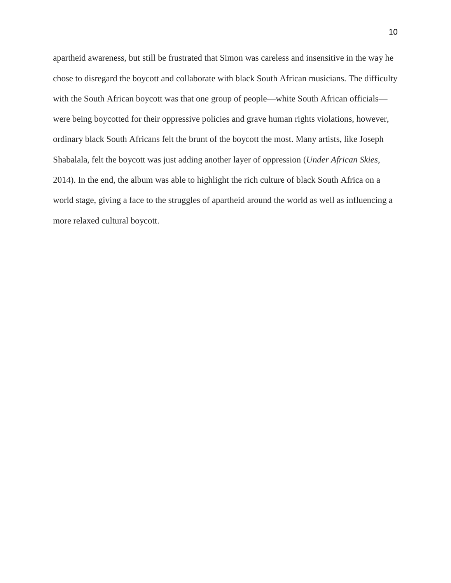apartheid awareness, but still be frustrated that Simon was careless and insensitive in the way he chose to disregard the boycott and collaborate with black South African musicians. The difficulty with the South African boycott was that one group of people—white South African officials were being boycotted for their oppressive policies and grave human rights violations, however, ordinary black South Africans felt the brunt of the boycott the most. Many artists, like Joseph Shabalala, felt the boycott was just adding another layer of oppression (*Under African Skies*, 2014). In the end, the album was able to highlight the rich culture of black South Africa on a world stage, giving a face to the struggles of apartheid around the world as well as influencing a more relaxed cultural boycott.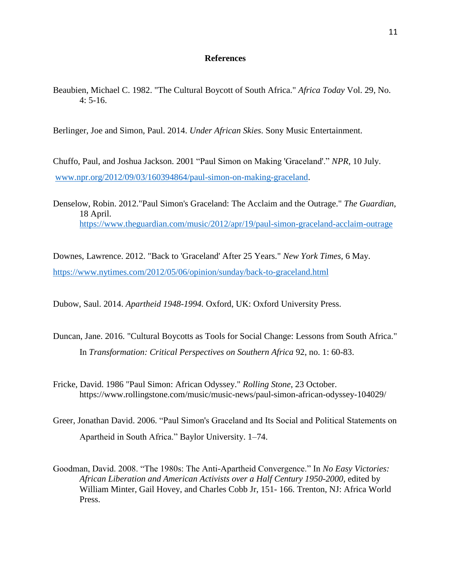# **References**

Beaubien, Michael C. 1982. "The Cultural Boycott of South Africa." *Africa Today* Vol. 29, No. 4: 5-16.

Berlinger, Joe and Simon, Paul. 2014. *Under African Skies*. Sony Music Entertainment.

Chuffo, Paul, and Joshua Jackson. 2001 "Paul Simon on Making 'Graceland'." *NPR*, 10 July. [www.npr.org/2012/09/03/160394864/paul-simon-on-making-graceland.](http://www.npr.org/2012/09/03/160394864/paul-simon-on-making-graceland)

Denselow, Robin. 2012."Paul Simon's Graceland: The Acclaim and the Outrage." *The Guardian*, 18 April. <https://www.theguardian.com/music/2012/apr/19/paul-simon-graceland-acclaim-outrage>

Downes, Lawrence. 2012. "Back to 'Graceland' After 25 Years." *New York Times,* 6 May. <https://www.nytimes.com/2012/05/06/opinion/sunday/back-to-graceland.html>

Dubow, Saul. 2014. *Apartheid 1948-1994.* Oxford, UK: Oxford University Press.

- Duncan, Jane. 2016. "Cultural Boycotts as Tools for Social Change: Lessons from South Africa." In *Transformation: Critical Perspectives on Southern Africa* 92, no. 1: 60-83.
- Fricke, David. 1986 "Paul Simon: African Odyssey." *Rolling Stone*, 23 October. https://www.rollingstone.com/music/music-news/paul-simon-african-odyssey-104029/
- Greer, Jonathan David. 2006. "Paul Simon's Graceland and Its Social and Political Statements on Apartheid in South Africa." Baylor University. 1–74.
- Goodman, David. 2008. "The 1980s: The Anti-Apartheid Convergence." In *No Easy Victories: African Liberation and American Activists over a Half Century 1950-2000,* edited by William Minter, Gail Hovey, and Charles Cobb Jr, 151- 166. Trenton, NJ: Africa World Press.